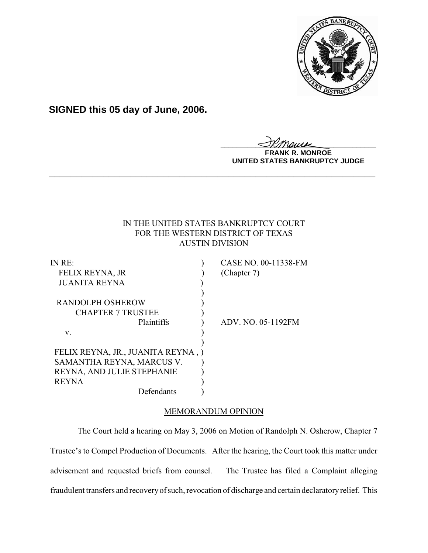

**SIGNED this 05 day of June, 2006.**

<u>IKThemse</u>

**MONROE UNITED STATES BANKRUPTCY JUDGE**

# IN THE UNITED STATES BANKRUPTCY COURT FOR THE WESTERN DISTRICT OF TEXAS AUSTIN DIVISION

**\_\_\_\_\_\_\_\_\_\_\_\_\_\_\_\_\_\_\_\_\_\_\_\_\_\_\_\_\_\_\_\_\_\_\_\_\_\_\_\_\_\_\_\_\_\_\_\_\_\_\_\_\_\_\_\_\_\_\_\_**

| INRE:                              | CASE NO. 00-11338-FM |
|------------------------------------|----------------------|
| FELIX REYNA, JR                    | (Chapter 7)          |
| <b>JUANITA REYNA</b>               |                      |
|                                    |                      |
| <b>RANDOLPH OSHEROW</b>            |                      |
| <b>CHAPTER 7 TRUSTEE</b>           |                      |
| Plaintiffs                         | ADV. NO. 05-1192FM   |
| V.                                 |                      |
|                                    |                      |
| FELIX REYNA, JR., JUANITA REYNA, ) |                      |
| SAMANTHA REYNA, MARCUS V.          |                      |
| REYNA, AND JULIE STEPHANIE         |                      |
| <b>REYNA</b>                       |                      |
| Defendants                         |                      |

## MEMORANDUM OPINION

 The Court held a hearing on May 3, 2006 on Motion of Randolph N. Osherow, Chapter 7 Trustee's to Compel Production of Documents. After the hearing, the Court took this matter under advisement and requested briefs from counsel. The Trustee has filed a Complaint alleging fraudulent transfers and recovery of such, revocation of discharge and certain declaratory relief. This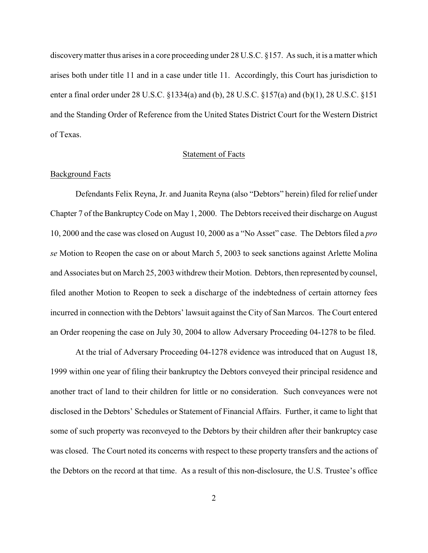discovery matter thus arises in a core proceeding under 28 U.S.C. §157. As such, it is a matter which arises both under title 11 and in a case under title 11. Accordingly, this Court has jurisdiction to enter a final order under 28 U.S.C. §1334(a) and (b), 28 U.S.C. §157(a) and (b)(1), 28 U.S.C. §151 and the Standing Order of Reference from the United States District Court for the Western District of Texas.

### Statement of Facts

#### Background Facts

Defendants Felix Reyna, Jr. and Juanita Reyna (also "Debtors" herein) filed for relief under Chapter 7 of the BankruptcyCode on May 1, 2000. The Debtors received their discharge on August 10, 2000 and the case was closed on August 10, 2000 as a "No Asset" case. The Debtors filed a *pro se* Motion to Reopen the case on or about March 5, 2003 to seek sanctions against Arlette Molina and Associates but on March 25, 2003 withdrew their Motion. Debtors, then represented by counsel, filed another Motion to Reopen to seek a discharge of the indebtedness of certain attorney fees incurred in connection with the Debtors' lawsuit against the City of San Marcos. The Court entered an Order reopening the case on July 30, 2004 to allow Adversary Proceeding 04-1278 to be filed.

At the trial of Adversary Proceeding 04-1278 evidence was introduced that on August 18, 1999 within one year of filing their bankruptcy the Debtors conveyed their principal residence and another tract of land to their children for little or no consideration. Such conveyances were not disclosed in the Debtors' Schedules or Statement of Financial Affairs. Further, it came to light that some of such property was reconveyed to the Debtors by their children after their bankruptcy case was closed. The Court noted its concerns with respect to these property transfers and the actions of the Debtors on the record at that time. As a result of this non-disclosure, the U.S. Trustee's office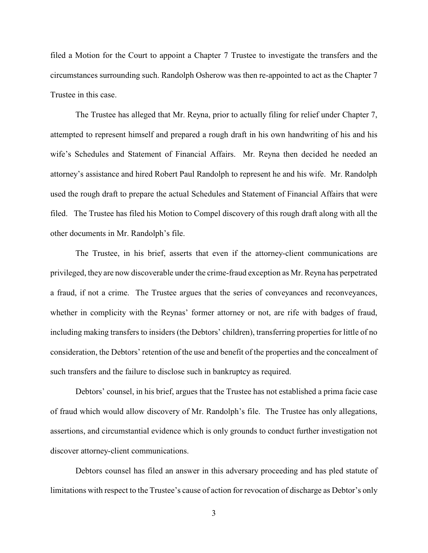filed a Motion for the Court to appoint a Chapter 7 Trustee to investigate the transfers and the circumstances surrounding such. Randolph Osherow was then re-appointed to act as the Chapter 7 Trustee in this case.

The Trustee has alleged that Mr. Reyna, prior to actually filing for relief under Chapter 7, attempted to represent himself and prepared a rough draft in his own handwriting of his and his wife's Schedules and Statement of Financial Affairs. Mr. Reyna then decided he needed an attorney's assistance and hired Robert Paul Randolph to represent he and his wife. Mr. Randolph used the rough draft to prepare the actual Schedules and Statement of Financial Affairs that were filed. The Trustee has filed his Motion to Compel discovery of this rough draft along with all the other documents in Mr. Randolph's file.

The Trustee, in his brief, asserts that even if the attorney-client communications are privileged, they are now discoverable under the crime-fraud exception as Mr. Reyna has perpetrated a fraud, if not a crime. The Trustee argues that the series of conveyances and reconveyances, whether in complicity with the Reynas' former attorney or not, are rife with badges of fraud, including making transfers to insiders (the Debtors' children), transferring properties for little of no consideration, the Debtors' retention of the use and benefit of the properties and the concealment of such transfers and the failure to disclose such in bankruptcy as required.

Debtors' counsel, in his brief, argues that the Trustee has not established a prima facie case of fraud which would allow discovery of Mr. Randolph's file. The Trustee has only allegations, assertions, and circumstantial evidence which is only grounds to conduct further investigation not discover attorney-client communications.

Debtors counsel has filed an answer in this adversary proceeding and has pled statute of limitations with respect to the Trustee's cause of action for revocation of discharge as Debtor's only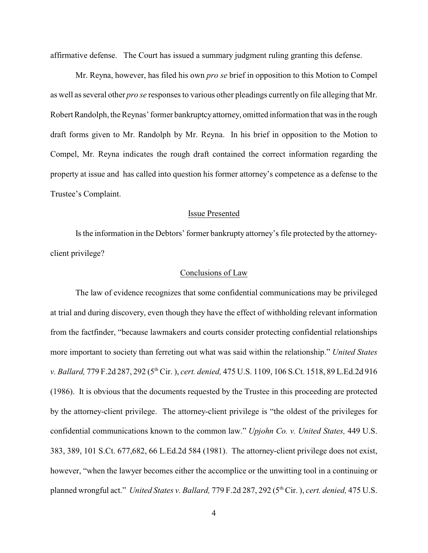affirmative defense. The Court has issued a summary judgment ruling granting this defense.

Mr. Reyna, however, has filed his own *pro se* brief in opposition to this Motion to Compel as well as several other *pro se* responses to various other pleadings currently on file alleging that Mr. Robert Randolph, the Reynas' former bankruptcy attorney, omitted information that was in the rough draft forms given to Mr. Randolph by Mr. Reyna. In his brief in opposition to the Motion to Compel, Mr. Reyna indicates the rough draft contained the correct information regarding the property at issue and has called into question his former attorney's competence as a defense to the Trustee's Complaint.

#### Issue Presented

Is the information in the Debtors' former bankrupty attorney's file protected by the attorneyclient privilege?

#### Conclusions of Law

The law of evidence recognizes that some confidential communications may be privileged at trial and during discovery, even though they have the effect of withholding relevant information from the factfinder, "because lawmakers and courts consider protecting confidential relationships more important to society than ferreting out what was said within the relationship." *United States v. Ballard,* 779 F.2d 287, 292 (5<sup>th</sup> Cir.), *cert. denied,* 475 U.S. 1109, 106 S.Ct. 1518, 89 L.Ed.2d 916 (1986). It is obvious that the documents requested by the Trustee in this proceeding are protected by the attorney-client privilege. The attorney-client privilege is "the oldest of the privileges for confidential communications known to the common law." *Upjohn Co. v. United States,* 449 U.S. 383, 389, 101 S.Ct. 677,682, 66 L.Ed.2d 584 (1981). The attorney-client privilege does not exist, however, "when the lawyer becomes either the accomplice or the unwitting tool in a continuing or planned wrongful act." *United States v. Ballard,* 779 F.2d 287, 292 (5<sup>th</sup> Cir.), *cert. denied,* 475 U.S.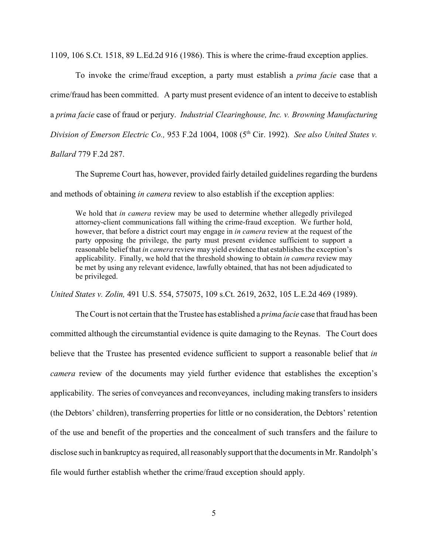1109, 106 S.Ct. 1518, 89 L.Ed.2d 916 (1986). This is where the crime-fraud exception applies.

To invoke the crime/fraud exception, a party must establish a *prima facie* case that a crime/fraud has been committed. A party must present evidence of an intent to deceive to establish a *prima facie* case of fraud or perjury. *Industrial Clearinghouse, Inc. v. Browning Manufacturing Division of Emerson Electric Co., 953 F.2d 1004, 1008 (5<sup>th</sup> Cir. 1992). <i>See also United States v. Ballard* 779 F.2d 287.

The Supreme Court has, however, provided fairly detailed guidelines regarding the burdens

and methods of obtaining *in camera* review to also establish if the exception applies:

We hold that *in camera* review may be used to determine whether allegedly privileged attorney-client communications fall withing the crime-fraud exception. We further hold, however, that before a district court may engage in *in camera* review at the request of the party opposing the privilege, the party must present evidence sufficient to support a reasonable belief that *in camera* review may yield evidence that establishes the exception's applicability. Finally, we hold that the threshold showing to obtain *in camera* review may be met by using any relevant evidence, lawfully obtained, that has not been adjudicated to be privileged.

*United States v. Zolin,* 491 U.S. 554, 575075, 109 s.Ct. 2619, 2632, 105 L.E.2d 469 (1989).

The Court is not certain that the Trustee has established a *prima facie* case that fraud has been committed although the circumstantial evidence is quite damaging to the Reynas. The Court does believe that the Trustee has presented evidence sufficient to support a reasonable belief that *in camera* review of the documents may yield further evidence that establishes the exception's applicability. The series of conveyances and reconveyances, including making transfers to insiders (the Debtors' children), transferring properties for little or no consideration, the Debtors' retention of the use and benefit of the properties and the concealment of such transfers and the failure to disclose such in bankruptcy as required, all reasonably support that the documents in Mr. Randolph's file would further establish whether the crime/fraud exception should apply.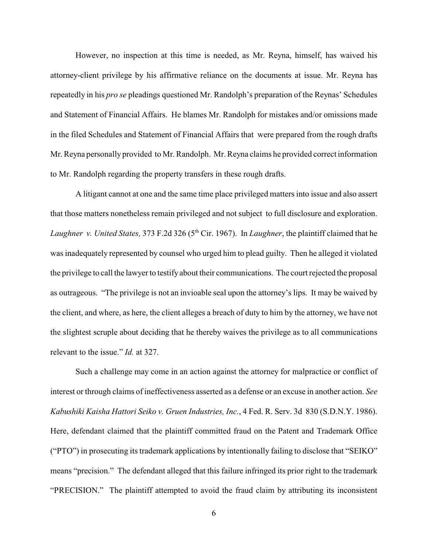However, no inspection at this time is needed, as Mr. Reyna, himself, has waived his attorney-client privilege by his affirmative reliance on the documents at issue. Mr. Reyna has repeatedly in his *pro se* pleadings questioned Mr. Randolph's preparation of the Reynas' Schedules and Statement of Financial Affairs. He blames Mr. Randolph for mistakes and/or omissions made in the filed Schedules and Statement of Financial Affairs that were prepared from the rough drafts Mr. Reyna personally provided to Mr. Randolph. Mr. Reyna claims he provided correct information to Mr. Randolph regarding the property transfers in these rough drafts.

A litigant cannot at one and the same time place privileged matters into issue and also assert that those matters nonetheless remain privileged and not subject to full disclosure and exploration. *Laughner v. United States, 373 F.2d 326 (5<sup>th</sup> Cir. 1967). In <i>Laughner*, the plaintiff claimed that he was inadequately represented by counsel who urged him to plead guilty. Then he alleged it violated the privilege to call the lawyer to testify about their communications. The court rejected the proposal as outrageous. "The privilege is not an invioable seal upon the attorney's lips. It may be waived by the client, and where, as here, the client alleges a breach of duty to him by the attorney, we have not the slightest scruple about deciding that he thereby waives the privilege as to all communications relevant to the issue." *Id.* at 327.

Such a challenge may come in an action against the attorney for malpractice or conflict of interest or through claims of ineffectiveness asserted as a defense or an excuse in another action. *See Kabushiki Kaisha Hattori Seiko v. Gruen Industries, Inc.*, 4 Fed. R. Serv. 3d 830 (S.D.N.Y. 1986). Here, defendant claimed that the plaintiff committed fraud on the Patent and Trademark Office ("PTO") in prosecuting its trademark applications by intentionally failing to disclose that "SEIKO" means "precision." The defendant alleged that this failure infringed its prior right to the trademark "PRECISION." The plaintiff attempted to avoid the fraud claim by attributing its inconsistent